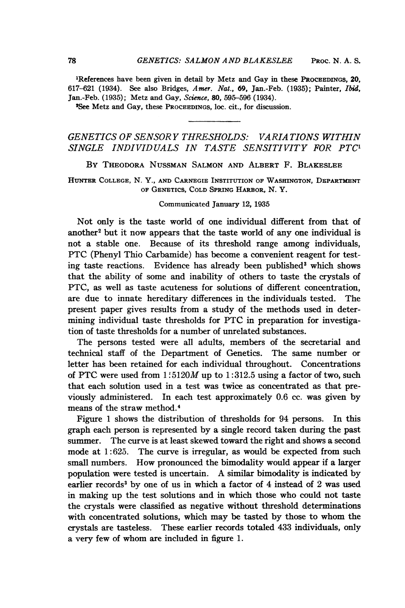'References have been given in detail by Metz and Gay in these PROCEEDINGS, 20, 617-621 (1934). See also Bridges, Amer. Nat., 69, Jan.-Feb. (1935); Painter, Ibid, Jan.-Feb. (1935); Metz and Gay, Science, 80, 595-596 (1934).

<sup>2</sup>See Metz and Gay, these PROCEEDINGS, loc. cit., for discussion.

## GENETICS OF SENSORY THRESHOLDS: VARIA TIONS WITHIN SINGLE INDIVIDUALS IN TASTE SENSITIVITY FOR PTC'

BY THEODORA NUSSMAN SALMON AND ALBERT F. BLAKESLEE

HUNTER COLLEGE, N. Y., AND CARNEGIE INSTITUTION OF WASINGTON, DEPARTMENT OF GENETICS, COLD SPRING HARBOR, N. Y.

## Communicated January 12, 1935

Not only is the taste world of one individual different from that of another<sup>2</sup> but it now appears that the taste world of any one individual is not a stable one. Because of its threshold range among individuals, PTC (Phenyl Thio Carbamide) has become <sup>a</sup> convenient reagent for testing taste reactions. Evidence has already been published<sup>3</sup> which shows that the ability of some and inability of others to taste the crystals of PTC, as well as taste acuteness for solutions of different concentration, are due to innate hereditary differences in the individuals tested. The present paper gives results from a study of the methods used in determining individual taste thresholds for PTC in preparation for investigation of taste thresholds for a number of unrelated substances.

The persons tested were all adults, members of the secretarial and technical staff of the Department of Genetics. The same number or letter has been retained for each individual throughout. Concentrations of PTC were used from  $1:5120M$  up to  $1:312.5$  using a factor of two, such that each solution used in a test was twice as concentrated as that previously administered. In each test approximately 0.6 cc. was given by means of the straw method.4

Figure <sup>1</sup> shows the distribution of thresholds for 94 persons. In this graph each person is represented by a single record taken during the past summer. The curve is at least skewed toward the right and shows a second mode at 1:625. The curve is irregular, as would be expected from such small numbers. How pronounced the bimodality would appear if a larger population were tested is uncertain. A similar bimodality is indicated by earlier records<sup>3</sup> by one of us in which a factor of 4 instead of 2 was used in making up the test solutions and in which those who could not taste the crystals were classified as negative without threshold determinations with concentrated solutions, which may be tasted by those to whom the crystals are tasteless. These earlier records totaled 433 individuals, only a very few of whom are included in figure 1.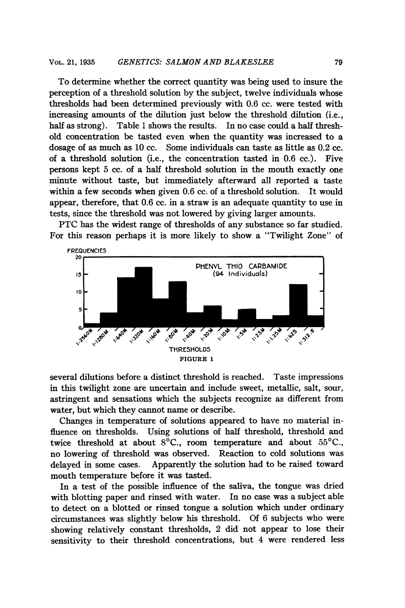To determine whether the correct quantity was being used to insure the perception of a threshold solution by the subject, twelve individuals whose thresholds had been determined previously with 0.6 cc. were tested with increasing amounts of the dilution just below the threshold dilution (i.e., half as strong). Table 1 shows the results. In no case could a half threshold concentration be tasted even when the quantity was increased to a dosage of as much as 10 cc. Some individuals can taste as little as 0.2 cc. of a threshold solution (i.e., the concentration tasted in 0.6 cc.). Five persons kept 5 cc. of a half threshold solution in the mouth exactly one minute without taste, but immediately afterward all reported a taste within a few seconds when given 0.6 cc. of a threshold solution. It would appear, therefore, that 0.6 cc. in a straw is an adequate quantity to use in tests, since the threshold was not lowered by giving larger amounts.

PTC has the widest range of thresholds of any substance so far studied. For this reason perhaps it is more likely to show a "Twilight Zone" of



several dilutions before a distinct threshold is reached. Taste impressions in this twilight zone are uncertain and include sweet, metallic, salt, sour, astringent and sensations which the subjects recognize as different from water, but which they cannot name or describe.

Changes in temperature of solutions appeared to have no material influence on thresholds. Using solutions of half threshold, threshold and twice threshold at about  $8^{\circ}$ C., room temperature and about  $55^{\circ}$ C., no lowering of threshold was observed. Reaction to cold solutions was delayed in some cases. Apparently the solution had to be raised toward mouth temperature before it was tasted.

In a test of the possible influence of the saliva, the tongue was dried with blotting paper and rinsed with water. In no case was a subject able to detect on a blotted or rinsed tongue a solution which under ordinary circumstances was slightly below his threshold. Of 6 subjects who were showing relatively constant thresholds, 2 did not appear to lose their sensitivity to their threshold concentrations, but 4 were rendered less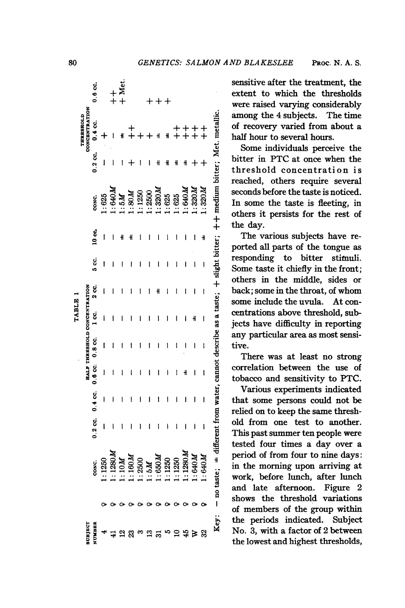|                |                                                                                                                         |           |           |   |                              | TABLE  |        |          |              |                |   |                            |           |
|----------------|-------------------------------------------------------------------------------------------------------------------------|-----------|-----------|---|------------------------------|--------|--------|----------|--------------|----------------|---|----------------------------|-----------|
| <b>SUBJECT</b> |                                                                                                                         |           |           |   | HALF THRESHOLD CONCENTRATION |        |        |          |              |                |   | CONCENTRATION<br>THRESHOLD |           |
| NUMBER         | CONC.                                                                                                                   | $0.2$ cc. | $0.4$ cc. |   | $0.6$ cc. $0.8$ cc.          | g<br>T | ટ<br>જ | ပ္ပ<br>၁ | 10 <b>ຕ.</b> | CONC.          |   | $0.2$ cc. $0.4$ cc.        | $0.6$ cc. |
|                |                                                                                                                         |           |           |   |                              |        |        |          |              |                |   |                            |           |
|                | 1:1250                                                                                                                  | I         | I         | ı | I                            |        |        |          |              | 1:625          | I |                            |           |
|                | $1:1280M$<br>$1:10M$                                                                                                    |           |           | ı | ı                            | ۱      |        | ł        |              | 40M            |   |                            |           |
|                |                                                                                                                         |           |           |   | I                            | I      |        | I        |              | M <sub>3</sub> |   |                            |           |
|                | 1:160M                                                                                                                  |           | ۱         |   | ı                            |        |        |          |              | 1.80M          |   |                            |           |
|                | $1:2500$<br>$1:5M$                                                                                                      |           |           |   | I                            |        | I      | ı        |              | 1:1250         |   |                            |           |
|                |                                                                                                                         |           | ۱         |   | ľ                            | ۱      | I      | l        |              | .2500          |   |                            |           |
|                | 1.650M                                                                                                                  | ١         | l         |   | I                            | ١      |        | ۱        |              | 0.320M         |   | $\ddot{}$                  |           |
|                | 1:1250                                                                                                                  |           |           |   | ı                            |        |        | ı        |              | .625           |   |                            |           |
|                | : 1250                                                                                                                  | ۱         | Ì         | I | I                            | ۱      | I      | l        | ı            | 1:625          |   |                            |           |
|                | $\therefore 1280$                                                                                                       |           |           |   | I                            |        | I      |          |              | $M$ 049:       |   |                            |           |
|                | 1.640M                                                                                                                  |           | Î         |   | 1                            |        |        | I        | I            | .320M          |   |                            |           |
|                | $M$ 040 $\dot{M}$                                                                                                       | İ         | ľ         | I | ı                            | I      | ı      | I        | ᆊ            | 1.320M         |   |                            |           |
| Key:           | - no taste; $*$ different from water, cannot describe as a taste; $+$ slight bitter; $++$ medium bitter; Met. metallic. |           |           |   |                              |        |        |          |              |                |   |                            |           |

sensitive after the treatment, the extent to which the thresholds were raised varying considerably among the 4 subjects. The time of recovery varied from about a half hour to several hours.

Some individuals perceive the bitter in PTC at once when the threshold concentration is reached, others require several seconds before the taste is noticed. In some the taste is fleeting, in others it persists for the rest of the day.

The various subjects have reported all parts of the tongue as responding to bitter stimuli. Some taste it chiefly in the front: others in the middle, sides or back; some in the throat, of whom some include the uvula. At concentrations above threshold, subjects have difficulty in reporting any particular area as most sensitive.

There was at least no strong correlation between the use of i tobacco and sensitivity to PTC.

Various experiments indicated that some persons could not be relied on to keep the same threshold from one test to another. This past summer ten people were tested four times a day over a period of from four to nine days: in the morning upon arriving at \_\_ work, before lunch, after lunch and late afternoon. Figure  $2$ shows the threshold variations of members of the group within the periods indicated. Subject No. 3, with a factor of 2 between the lowest and highest thresholds,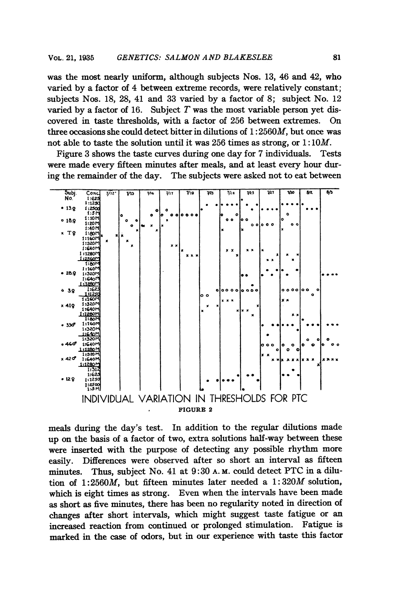was the most nearly uniform, although subjects Nos. 13, 46 and 42, who varied by a factor of 4 between extreme records, were relatively constant; subjects Nos. 18, 28, 41 and 33 varied by a factor of 8; subject No. 12 varied by a factor of 16. Subject  $T$  was the most variable person yet discovered in taste thresholds, with a factor of 256 between extremes.  $On$ three occasions she could detect bitter in dilutions of  $1:2560M$ , but once was not able to taste the solution until it was 256 times as strong, or  $1:10M$ .

Figure 3 shows the taste curves during one day for 7 individuals. **Tests** were made every fifteen minutes after meals, and at least every hour during the remainder of the day. The subjects were asked not to eat between



meals during the day's test. In addition to the regular dilutions made up on the basis of a factor of two, extra solutions half-way between these were inserted with the purpose of detecting any possible rhythm more easily. Differences were observed after so short an interval as fifteen Thus, subject No. 41 at 9:30 A.M. could detect PTC in a diluminutes. tion of 1:2560M, but fifteen minutes later needed a  $1:320M$  solution, which is eight times as strong. Even when the intervals have been made as short as five minutes, there has been no regularity noted in direction of changes after short intervals, which might suggest taste fatigue or an increased reaction from continued or prolonged stimulation. Fatigue is marked in the case of odors, but in our experience with taste this factor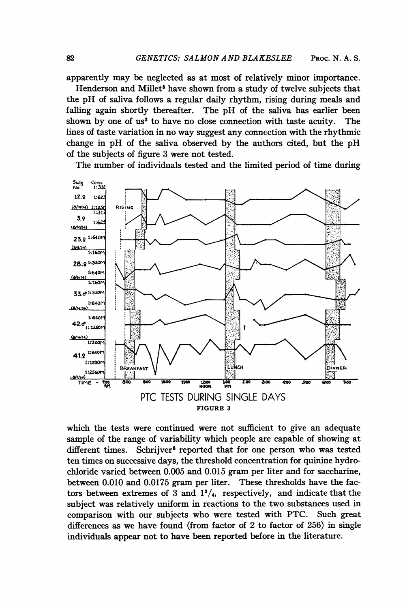apparently may be neglected as at most of relatively minor importance.

Henderson and Millet<sup>5</sup> have shown from a study of twelve subjects that the pH of saliva follows <sup>a</sup> regular daily rhythm, rising during meals and falling again shortly thereafter. The pH of the saliva has earlier been shown by one of us<sup>3</sup> to have no close connection with taste acuity. The lines of taste variation in no way suggest any connection with the rhythmic change in pH of the saliva observed by the authors cited, but the pH of the subjects of figure 3 were not tested.

The number of individuals tested and the limited period of time during



which the tests were continued were not sufficient to give an adequate sample of the range of variability which people are capable of showing at different times. Schrijver<sup>6</sup> reported that for one person who was tested ten times on successive days, the threshold concentration for quinine hydrochloride varied between 0.005 and 0.015 gram per liter and for saccharine, between 0.010 and 0.0175 gram per liter. These thresholds have the factors between extremes of 3 and  $1^3/4$ , respectively, and indicate that the subject was relatively uniform in reactions to the two substances used in comparison with our subjects who were tested with PTC. Such great differences as we have found (from factor of 2 to factor of 256) in single individuals appear not to have been reported before in the literature.